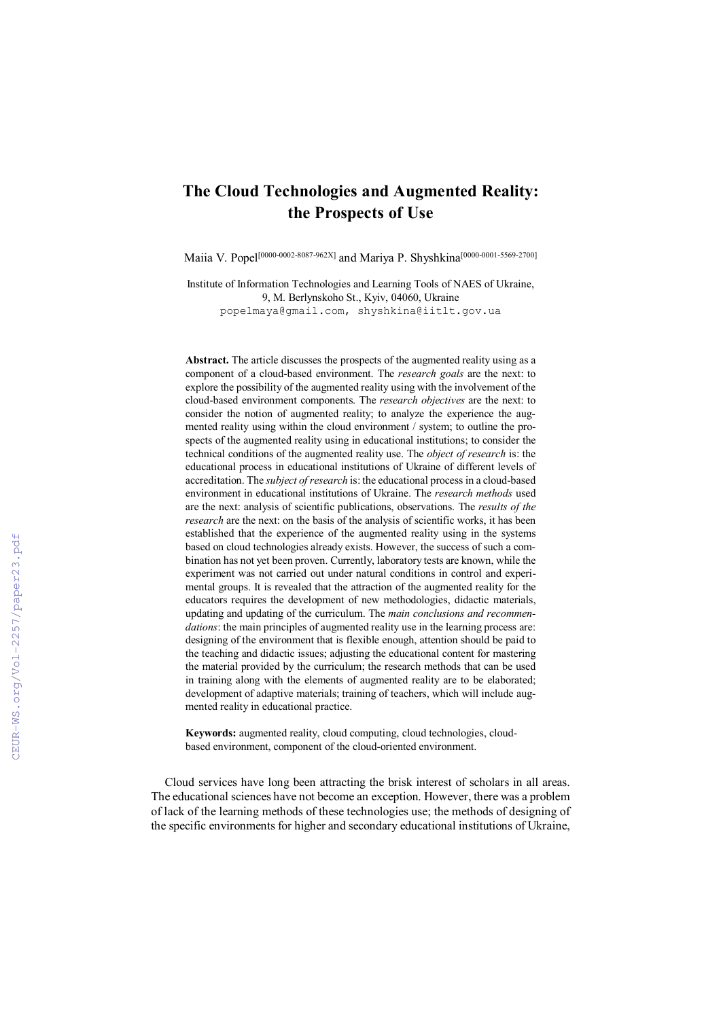## The Cloud Technologies and Augmented Reality: the Prospects of Use

Maiia V. Popel[0000-0002-8087-962X] and Mariya P. Shyshkina[0000-0001-5569-2700]

Institute of Information Technologies and Learning Tools of NAES of Ukraine, 9, M. Berlynskoho St., Kyiv, 04060, Ukraine popelmaya@gmail.com, shyshkina@iitlt.gov.ua

Abstract. The article discusses the prospects of the augmented reality using as a component of a cloud-based environment. The *research goals* are the next: to explore the possibility of the augmented reality using with the involvement of the cloud-based environment components. The *research objectives* are the next: to consider the notion of augmented reality; to analyze the experience the augmented reality using within the cloud environment / system; to outline the prospects of the augmented reality using in educational institutions; to consider the technical conditions of the augmented reality use. The *object of research* is: the educational process in educational institutions of Ukraine of different levels of accreditation. The *subject of research* is: the educational process in a cloud-based environment in educational institutions of Ukraine. The *research methods* used are the next: analysis of scientific publications, observations. The *results of the research* are the next: on the basis of the analysis of scientific works, it has been established that the experience of the augmented reality using in the systems based on cloud technologies already exists. However, the success of such a combination has not yet been proven. Currently, laboratory tests are known, while the experiment was not carried out under natural conditions in control and experimental groups. It is revealed that the attraction of the augmented reality for the educators requires the development of new methodologies, didactic materials, updating and updating of the curriculum. The *main conclusions and recommendations*: the main principles of augmented reality use in the learning process are: designing of the environment that is flexible enough, attention should be paid to the teaching and didactic issues; adjusting the educational content for mastering the material provided by the curriculum; the research methods that can be used in training along with the elements of augmented reality are to be elaborated; development of adaptive materials; training of teachers, which will include augmented reality in educational practice.

Keywords: augmented reality, cloud computing, cloud technologies, cloudbased environment, component of the cloud-oriented environment.

Cloud services have long been attracting the brisk interest of scholars in all areas. The educational sciences have not become an exception. However, there was a problem of lack of the learning methods of these technologies use; the methods of designing of the specific environments for higher and secondary educational institutions of Ukraine,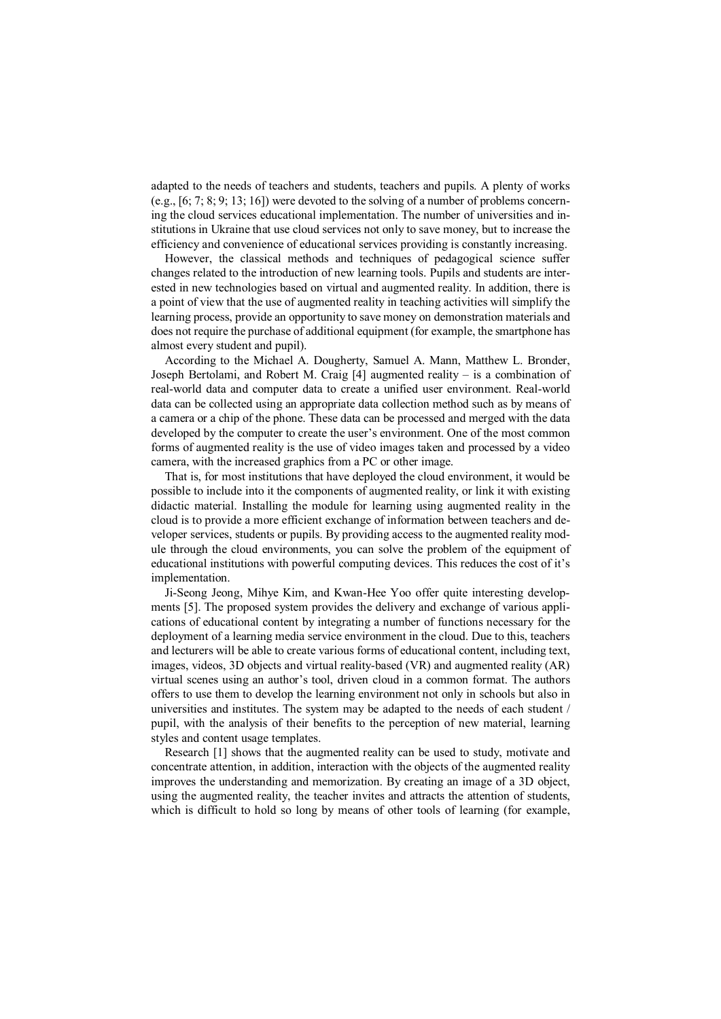adapted to the needs of teachers and students, teachers and pupils. A plenty of works (e.g., [6; 7; 8; 9; 13; 16]) were devoted to the solving of a number of problems concerning the cloud services educational implementation. The number of universities and institutions in Ukraine that use cloud services not only to save money, but to increase the efficiency and convenience of educational services providing is constantly increasing.

However, the classical methods and techniques of pedagogical science suffer changes related to the introduction of new learning tools. Pupils and students are interested in new technologies based on virtual and augmented reality. In addition, there is a point of view that the use of augmented reality in teaching activities will simplify the learning process, provide an opportunity to save money on demonstration materials and does not require the purchase of additional equipment (for example, the smartphone has almost every student and pupil).

According to the Michael A. Dougherty, Samuel A. Mann, Matthew L. Bronder, Joseph Bertolami, and Robert M. Craig [4] augmented reality – is a combination of real-world data and computer data to create a unified user environment. Real-world data can be collected using an appropriate data collection method such as by means of a camera or a chip of the phone. These data can be processed and merged with the data developed by the computer to create the user's environment. One of the most common forms of augmented reality is the use of video images taken and processed by a video camera, with the increased graphics from a PC or other image.

That is, for most institutions that have deployed the cloud environment, it would be possible to include into it the components of augmented reality, or link it with existing didactic material. Installing the module for learning using augmented reality in the cloud is to provide a more efficient exchange of information between teachers and developer services, students or pupils. By providing access to the augmented reality module through the cloud environments, you can solve the problem of the equipment of educational institutions with powerful computing devices. This reduces the cost of it's implementation.

Ji-Seong Jeong, Mihye Kim, and Kwan-Hee Yoo offer quite interesting developments [5]. The proposed system provides the delivery and exchange of various applications of educational content by integrating a number of functions necessary for the deployment of a learning media service environment in the cloud. Due to this, teachers and lecturers will be able to create various forms of educational content, including text, images, videos, 3D objects and virtual reality-based (VR) and augmented reality (AR) virtual scenes using an author's tool, driven cloud in a common format. The authors offers to use them to develop the learning environment not only in schools but also in universities and institutes. The system may be adapted to the needs of each student / pupil, with the analysis of their benefits to the perception of new material, learning styles and content usage templates.

Research [1] shows that the augmented reality can be used to study, motivate and concentrate attention, in addition, interaction with the objects of the augmented reality improves the understanding and memorization. By creating an image of a 3D object, using the augmented reality, the teacher invites and attracts the attention of students, which is difficult to hold so long by means of other tools of learning (for example,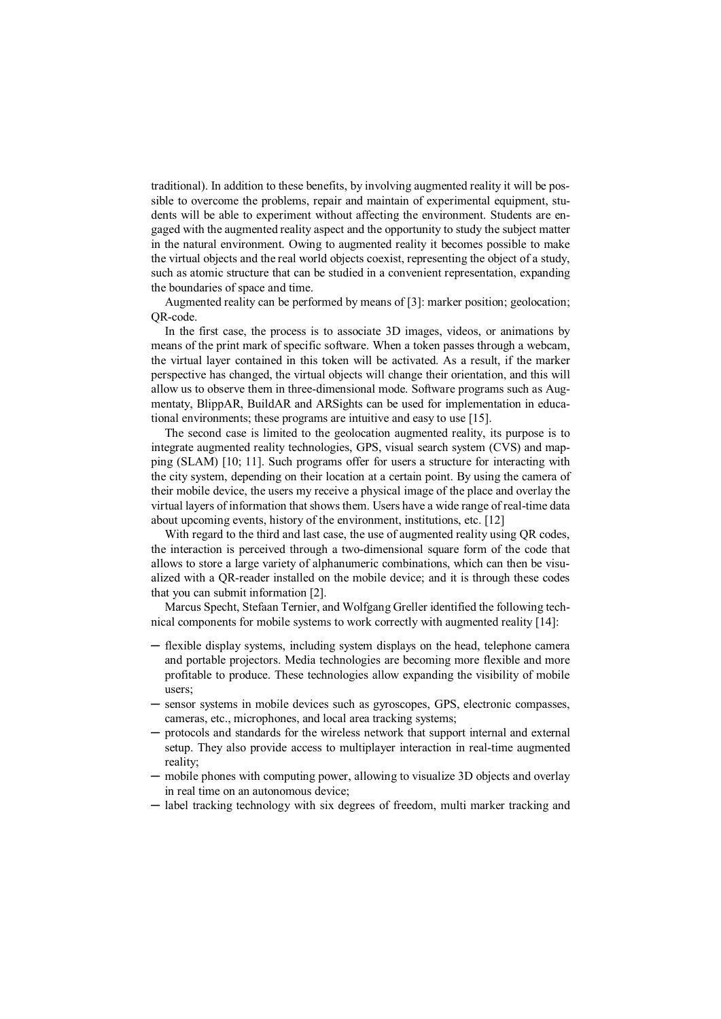traditional). In addition to these benefits, by involving augmented reality it will be possible to overcome the problems, repair and maintain of experimental equipment, students will be able to experiment without affecting the environment. Students are engaged with the augmented reality aspect and the opportunity to study the subject matter in the natural environment. Owing to augmented reality it becomes possible to make the virtual objects and the real world objects coexist, representing the object of a study, such as atomic structure that can be studied in a convenient representation, expanding the boundaries of space and time.

Augmented reality can be performed by means of [3]: marker position; geolocation; QR-code.

In the first case, the process is to associate 3D images, videos, or animations by means of the print mark of specific software. When a token passes through a webcam, the virtual layer contained in this token will be activated. As a result, if the marker perspective has changed, the virtual objects will change their orientation, and this will allow us to observe them in three-dimensional mode. Software programs such as Augmentaty, BlippAR, BuildAR and ARSights can be used for implementation in educational environments; these programs are intuitive and easy to use [15].

The second case is limited to the geolocation augmented reality, its purpose is to integrate augmented reality technologies, GPS, visual search system (CVS) and mapping (SLAM) [10; 11]. Such programs offer for users a structure for interacting with the city system, depending on their location at a certain point. By using the camera of their mobile device, the users my receive a physical image of the place and overlay the virtual layers of information that shows them. Users have a wide range of real-time data about upcoming events, history of the environment, institutions, etc. [12]

With regard to the third and last case, the use of augmented reality using QR codes, the interaction is perceived through a two-dimensional square form of the code that allows to store a large variety of alphanumeric combinations, which can then be visualized with a QR-reader installed on the mobile device; and it is through these codes that you can submit information [2].

Marcus Specht, Stefaan Ternier, and Wolfgang Greller identified the following technical components for mobile systems to work correctly with augmented reality [14]:

- ─ flexible display systems, including system displays on the head, telephone camera and portable projectors. Media technologies are becoming more flexible and more profitable to produce. These technologies allow expanding the visibility of mobile users;
- ─ sensor systems in mobile devices such as gyroscopes, GPS, electronic compasses, cameras, etc., microphones, and local area tracking systems;
- protocols and standards for the wireless network that support internal and external setup. They also provide access to multiplayer interaction in real-time augmented reality;
- ─ mobile phones with computing power, allowing to visualize 3D objects and overlay in real time on an autonomous device;
- ─ label tracking technology with six degrees of freedom, multi marker tracking and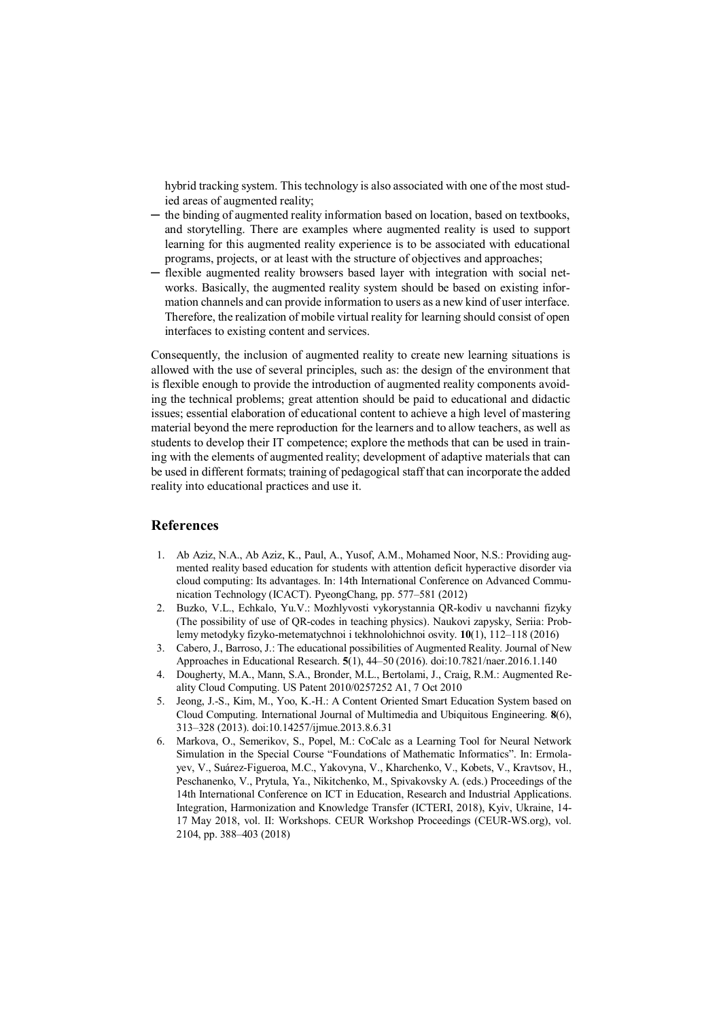hybrid tracking system. This technology is also associated with one of the most studied areas of augmented reality;

- ─ the binding of augmented reality information based on location, based on textbooks, and storytelling. There are examples where augmented reality is used to support learning for this augmented reality experience is to be associated with educational programs, projects, or at least with the structure of objectives and approaches;
- ─ flexible augmented reality browsers based layer with integration with social networks. Basically, the augmented reality system should be based on existing information channels and can provide information to users as a new kind of user interface. Therefore, the realization of mobile virtual reality for learning should consist of open interfaces to existing content and services.

Consequently, the inclusion of augmented reality to create new learning situations is allowed with the use of several principles, such as: the design of the environment that is flexible enough to provide the introduction of augmented reality components avoiding the technical problems; great attention should be paid to educational and didactic issues; essential elaboration of educational content to achieve a high level of mastering material beyond the mere reproduction for the learners and to allow teachers, as well as students to develop their IT competence; explore the methods that can be used in training with the elements of augmented reality; development of adaptive materials that can be used in different formats; training of pedagogical staff that can incorporate the added reality into educational practices and use it.

## **References**

- 1. Ab Aziz, N.A., Ab Aziz, K., Paul, A., Yusof, A.M., Mohamed Noor, N.S.: Providing augmented reality based education for students with attention deficit hyperactive disorder via cloud computing: Its advantages. In: 14th International Conference on Advanced Communication Technology (ICACT). PyeongChang, pp. 577–581 (2012)
- 2. Buzko, V.L., Echkalo, Yu.V.: Mozhlyvosti vykorystannia QR-kodiv u navchanni fizyky (The possibility of use of QR-codes in teaching physics). Naukovi zapysky, Seriia: Problemy metodyky fizyko-metematychnoi i tekhnolohichnoi osvity. 10(1), 112–118 (2016)
- 3. Cabero, J., Barroso, J.: The educational possibilities of Augmented Reality. Journal of New Approaches in Educational Research. 5(1), 44–50 (2016). doi:10.7821/naer.2016.1.140
- 4. Dougherty, M.A., Mann, S.A., Bronder, M.L., Bertolami, J., Craig, R.M.: Augmented Reality Cloud Computing. US Patent 2010/0257252 A1, 7 Oct 2010
- 5. Jeong, J.-S., Kim, M., Yoo, K.-H.: A Content Oriented Smart Education System based on Cloud Computing. International Journal of Multimedia and Ubiquitous Engineering. 8(6), 313–328 (2013). doi:10.14257/ijmue.2013.8.6.31
- 6. Markova, O., Semerikov, S., Popel, M.: СoCalc as a Learning Tool for Neural Network Simulation in the Special Course "Foundations of Mathematic Informatics". In: Ermolayev, V., Suárez-Figueroa, M.C., Yakovyna, V., Kharchenko, V., Kobets, V., Kravtsov, H., Peschanenko, V., Prytula, Ya., Nikitchenko, M., Spivakovsky A. (eds.) Proceedings of the 14th International Conference on ICT in Education, Research and Industrial Applications. Integration, Harmonization and Knowledge Transfer (ICTERI, 2018), Kyiv, Ukraine, 14- 17 May 2018, vol. II: Workshops. CEUR Workshop Proceedings (CEUR-WS.org), vol. 2104, pp. 388–403 (2018)